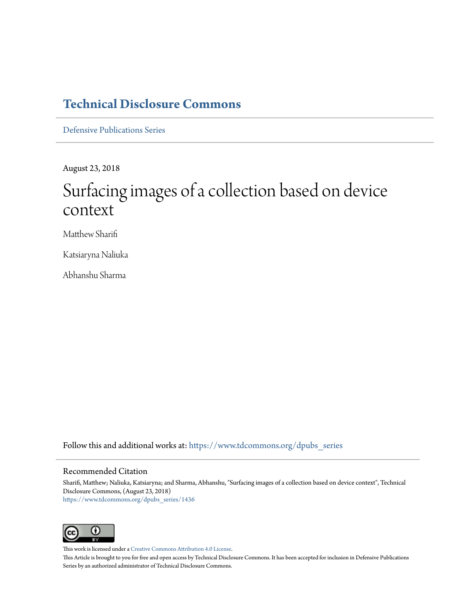## **[Technical Disclosure Commons](https://www.tdcommons.org?utm_source=www.tdcommons.org%2Fdpubs_series%2F1436&utm_medium=PDF&utm_campaign=PDFCoverPages)**

[Defensive Publications Series](https://www.tdcommons.org/dpubs_series?utm_source=www.tdcommons.org%2Fdpubs_series%2F1436&utm_medium=PDF&utm_campaign=PDFCoverPages)

August 23, 2018

# Surfacing images of a collection based on device context

Matthew Sharifi

Katsiaryna Naliuka

Abhanshu Sharma

Follow this and additional works at: [https://www.tdcommons.org/dpubs\\_series](https://www.tdcommons.org/dpubs_series?utm_source=www.tdcommons.org%2Fdpubs_series%2F1436&utm_medium=PDF&utm_campaign=PDFCoverPages)

#### Recommended Citation

Sharifi, Matthew; Naliuka, Katsiaryna; and Sharma, Abhanshu, "Surfacing images of a collection based on device context", Technical Disclosure Commons, (August 23, 2018) [https://www.tdcommons.org/dpubs\\_series/1436](https://www.tdcommons.org/dpubs_series/1436?utm_source=www.tdcommons.org%2Fdpubs_series%2F1436&utm_medium=PDF&utm_campaign=PDFCoverPages)



This work is licensed under a [Creative Commons Attribution 4.0 License.](http://creativecommons.org/licenses/by/4.0/deed.en_US)

This Article is brought to you for free and open access by Technical Disclosure Commons. It has been accepted for inclusion in Defensive Publications Series by an authorized administrator of Technical Disclosure Commons.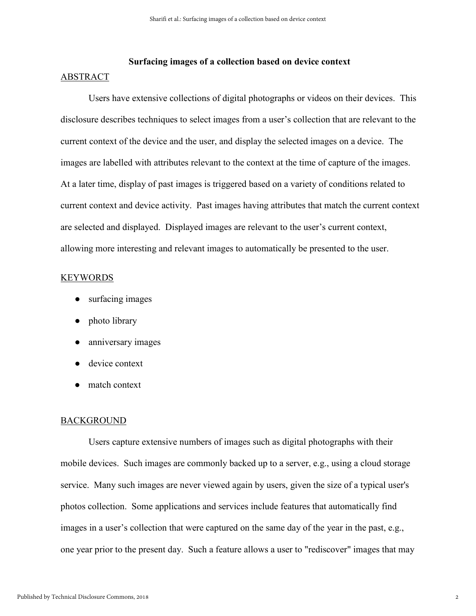### **Surfacing images of a collection based on device context**  ABSTRACT

Users have extensive collections of digital photographs or videos on their devices. This disclosure describes techniques to select images from a user's collection that are relevant to the current context of the device and the user, and display the selected images on a device. The images are labelled with attributes relevant to the context at the time of capture of the images. At a later time, display of past images is triggered based on a variety of conditions related to current context and device activity. Past images having attributes that match the current context are selected and displayed. Displayed images are relevant to the user's current context, allowing more interesting and relevant images to automatically be presented to the user.

#### **KEYWORDS**

- surfacing images
- photo library
- anniversary images
- device context
- match context

#### **BACKGROUND**

Users capture extensive numbers of images such as digital photographs with their mobile devices. Such images are commonly backed up to a server, e.g., using a cloud storage service. Many such images are never viewed again by users, given the size of a typical user's photos collection. Some applications and services include features that automatically find images in a user's collection that were captured on the same day of the year in the past, e.g., one year prior to the present day. Such a feature allows a user to "rediscover" images that may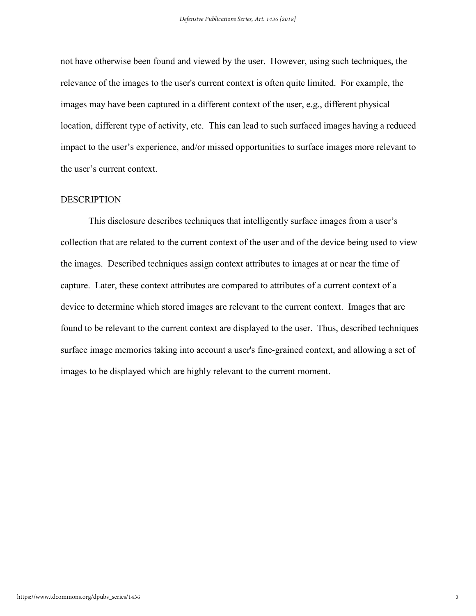not have otherwise been found and viewed by the user. However, using such techniques, the relevance of the images to the user's current context is often quite limited. For example, the images may have been captured in a different context of the user, e.g., different physical location, different type of activity, etc. This can lead to such surfaced images having a reduced impact to the user's experience, and/or missed opportunities to surface images more relevant to the user's current context.

#### DESCRIPTION

This disclosure describes techniques that intelligently surface images from a user's collection that are related to the current context of the user and of the device being used to view the images. Described techniques assign context attributes to images at or near the time of capture. Later, these context attributes are compared to attributes of a current context of a device to determine which stored images are relevant to the current context. Images that are found to be relevant to the current context are displayed to the user. Thus, described techniques surface image memories taking into account a user's fine-grained context, and allowing a set of images to be displayed which are highly relevant to the current moment.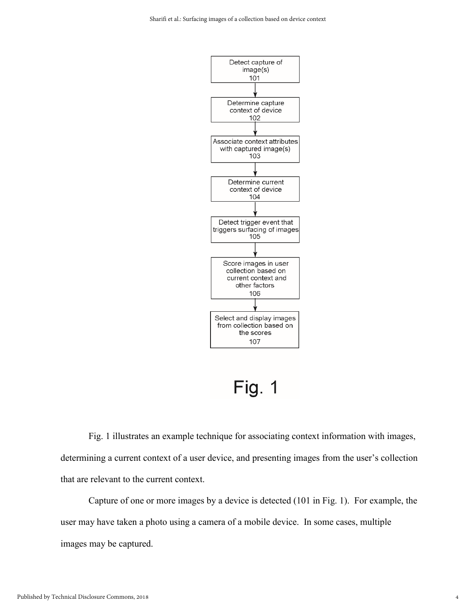

Fig. 1 illustrates an example technique for associating context information with images, determining a current context of a user device, and presenting images from the user's collection that are relevant to the current context.

Capture of one or more images by a device is detected (101 in Fig. 1). For example, the user may have taken a photo using a camera of a mobile device. In some cases, multiple images may be captured.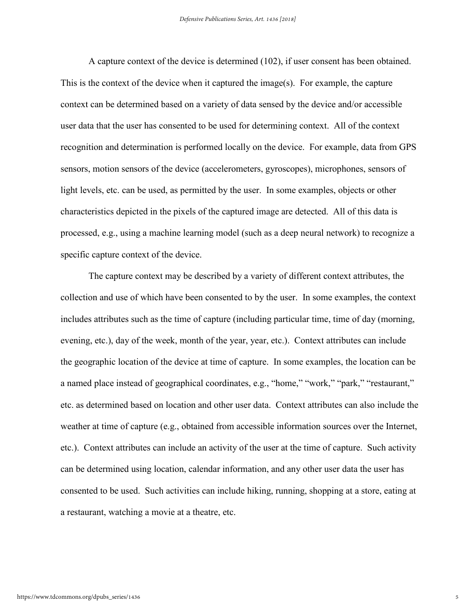A capture context of the device is determined (102), if user consent has been obtained. This is the context of the device when it captured the image(s). For example, the capture context can be determined based on a variety of data sensed by the device and/or accessible user data that the user has consented to be used for determining context. All of the context recognition and determination is performed locally on the device. For example, data from GPS sensors, motion sensors of the device (accelerometers, gyroscopes), microphones, sensors of light levels, etc. can be used, as permitted by the user. In some examples, objects or other characteristics depicted in the pixels of the captured image are detected. All of this data is processed, e.g., using a machine learning model (such as a deep neural network) to recognize a specific capture context of the device.

The capture context may be described by a variety of different context attributes, the collection and use of which have been consented to by the user. In some examples, the context includes attributes such as the time of capture (including particular time, time of day (morning, evening, etc.), day of the week, month of the year, year, etc.). Context attributes can include the geographic location of the device at time of capture. In some examples, the location can be a named place instead of geographical coordinates, e.g., "home," "work," "park," "restaurant," etc. as determined based on location and other user data. Context attributes can also include the weather at time of capture (e.g., obtained from accessible information sources over the Internet, etc.). Context attributes can include an activity of the user at the time of capture. Such activity can be determined using location, calendar information, and any other user data the user has consented to be used. Such activities can include hiking, running, shopping at a store, eating at a restaurant, watching a movie at a theatre, etc.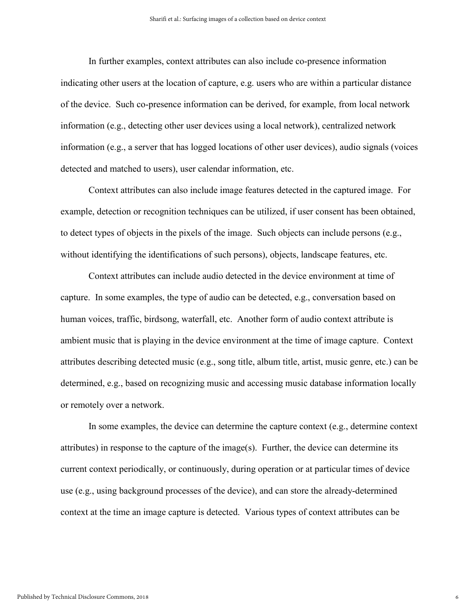In further examples, context attributes can also include co-presence information indicating other users at the location of capture, e.g. users who are within a particular distance of the device. Such co-presence information can be derived, for example, from local network information (e.g., detecting other user devices using a local network), centralized network information (e.g., a server that has logged locations of other user devices), audio signals (voices detected and matched to users), user calendar information, etc.

Context attributes can also include image features detected in the captured image. For example, detection or recognition techniques can be utilized, if user consent has been obtained, to detect types of objects in the pixels of the image. Such objects can include persons (e.g., without identifying the identifications of such persons), objects, landscape features, etc.

Context attributes can include audio detected in the device environment at time of capture. In some examples, the type of audio can be detected, e.g., conversation based on human voices, traffic, birdsong, waterfall, etc. Another form of audio context attribute is ambient music that is playing in the device environment at the time of image capture. Context attributes describing detected music (e.g., song title, album title, artist, music genre, etc.) can be determined, e.g., based on recognizing music and accessing music database information locally or remotely over a network.

In some examples, the device can determine the capture context (e.g., determine context attributes) in response to the capture of the image(s). Further, the device can determine its current context periodically, or continuously, during operation or at particular times of device use (e.g., using background processes of the device), and can store the already-determined context at the time an image capture is detected. Various types of context attributes can be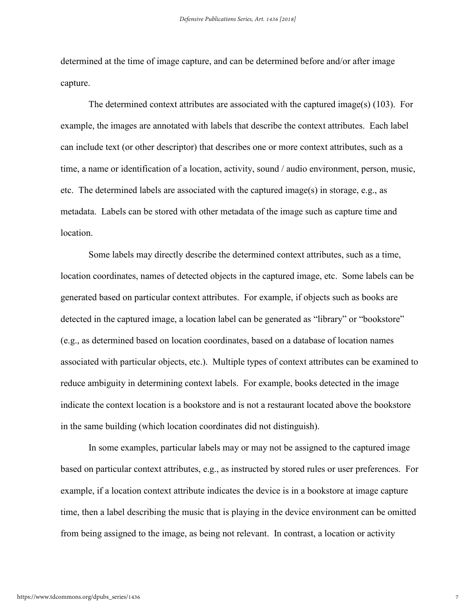determined at the time of image capture, and can be determined before and/or after image capture.

The determined context attributes are associated with the captured image(s)  $(103)$ . For example, the images are annotated with labels that describe the context attributes. Each label can include text (or other descriptor) that describes one or more context attributes, such as a time, a name or identification of a location, activity, sound / audio environment, person, music, etc. The determined labels are associated with the captured image(s) in storage, e.g., as metadata. Labels can be stored with other metadata of the image such as capture time and location.

Some labels may directly describe the determined context attributes, such as a time, location coordinates, names of detected objects in the captured image, etc. Some labels can be generated based on particular context attributes. For example, if objects such as books are detected in the captured image, a location label can be generated as "library" or "bookstore" (e.g., as determined based on location coordinates, based on a database of location names associated with particular objects, etc.). Multiple types of context attributes can be examined to reduce ambiguity in determining context labels. For example, books detected in the image indicate the context location is a bookstore and is not a restaurant located above the bookstore in the same building (which location coordinates did not distinguish).

In some examples, particular labels may or may not be assigned to the captured image based on particular context attributes, e.g., as instructed by stored rules or user preferences. For example, if a location context attribute indicates the device is in a bookstore at image capture time, then a label describing the music that is playing in the device environment can be omitted from being assigned to the image, as being not relevant. In contrast, a location or activity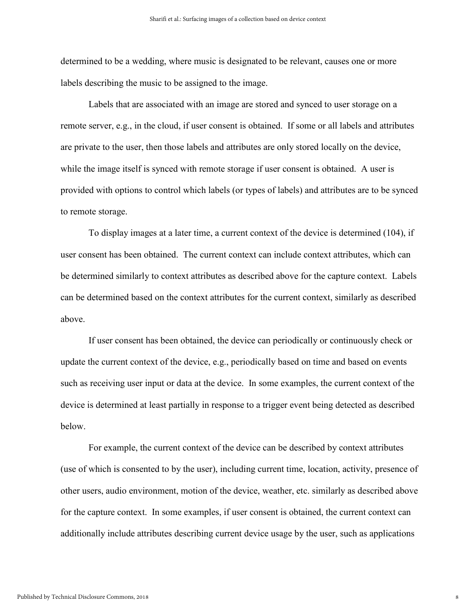determined to be a wedding, where music is designated to be relevant, causes one or more labels describing the music to be assigned to the image.

Labels that are associated with an image are stored and synced to user storage on a remote server, e.g., in the cloud, if user consent is obtained. If some or all labels and attributes are private to the user, then those labels and attributes are only stored locally on the device, while the image itself is synced with remote storage if user consent is obtained. A user is provided with options to control which labels (or types of labels) and attributes are to be synced to remote storage.

To display images at a later time, a current context of the device is determined (104), if user consent has been obtained. The current context can include context attributes, which can be determined similarly to context attributes as described above for the capture context. Labels can be determined based on the context attributes for the current context, similarly as described above.

If user consent has been obtained, the device can periodically or continuously check or update the current context of the device, e.g., periodically based on time and based on events such as receiving user input or data at the device. In some examples, the current context of the device is determined at least partially in response to a trigger event being detected as described below.

For example, the current context of the device can be described by context attributes (use of which is consented to by the user), including current time, location, activity, presence of other users, audio environment, motion of the device, weather, etc. similarly as described above for the capture context. In some examples, if user consent is obtained, the current context can additionally include attributes describing current device usage by the user, such as applications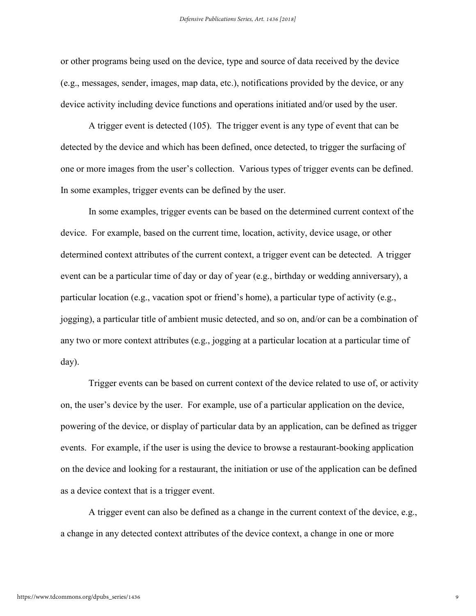or other programs being used on the device, type and source of data received by the device (e.g., messages, sender, images, map data, etc.), notifications provided by the device, or any device activity including device functions and operations initiated and/or used by the user.

A trigger event is detected (105). The trigger event is any type of event that can be detected by the device and which has been defined, once detected, to trigger the surfacing of one or more images from the user's collection. Various types of trigger events can be defined. In some examples, trigger events can be defined by the user.

In some examples, trigger events can be based on the determined current context of the device. For example, based on the current time, location, activity, device usage, or other determined context attributes of the current context, a trigger event can be detected. A trigger event can be a particular time of day or day of year (e.g., birthday or wedding anniversary), a particular location (e.g., vacation spot or friend's home), a particular type of activity (e.g., jogging), a particular title of ambient music detected, and so on, and/or can be a combination of any two or more context attributes (e.g., jogging at a particular location at a particular time of day).

Trigger events can be based on current context of the device related to use of, or activity on, the user's device by the user. For example, use of a particular application on the device, powering of the device, or display of particular data by an application, can be defined as trigger events. For example, if the user is using the device to browse a restaurant-booking application on the device and looking for a restaurant, the initiation or use of the application can be defined as a device context that is a trigger event.

A trigger event can also be defined as a change in the current context of the device, e.g., a change in any detected context attributes of the device context, a change in one or more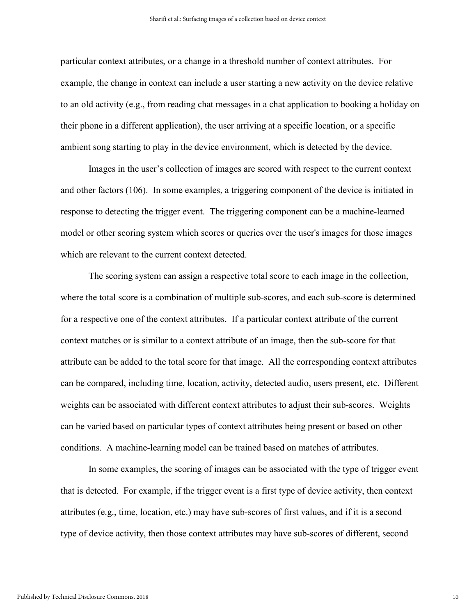particular context attributes, or a change in a threshold number of context attributes. For example, the change in context can include a user starting a new activity on the device relative to an old activity (e.g., from reading chat messages in a chat application to booking a holiday on their phone in a different application), the user arriving at a specific location, or a specific ambient song starting to play in the device environment, which is detected by the device.

Images in the user's collection of images are scored with respect to the current context and other factors (106). In some examples, a triggering component of the device is initiated in response to detecting the trigger event. The triggering component can be a machine-learned model or other scoring system which scores or queries over the user's images for those images which are relevant to the current context detected.

The scoring system can assign a respective total score to each image in the collection, where the total score is a combination of multiple sub-scores, and each sub-score is determined for a respective one of the context attributes. If a particular context attribute of the current context matches or is similar to a context attribute of an image, then the sub-score for that attribute can be added to the total score for that image. All the corresponding context attributes can be compared, including time, location, activity, detected audio, users present, etc. Different weights can be associated with different context attributes to adjust their sub-scores. Weights can be varied based on particular types of context attributes being present or based on other conditions. A machine-learning model can be trained based on matches of attributes.

In some examples, the scoring of images can be associated with the type of trigger event that is detected. For example, if the trigger event is a first type of device activity, then context attributes (e.g., time, location, etc.) may have sub-scores of first values, and if it is a second type of device activity, then those context attributes may have sub-scores of different, second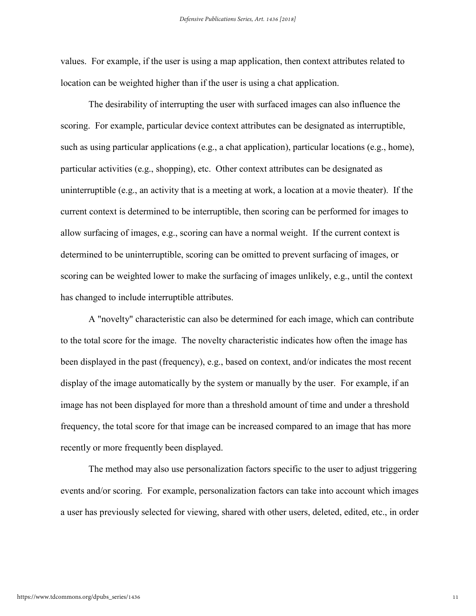values. For example, if the user is using a map application, then context attributes related to location can be weighted higher than if the user is using a chat application.

The desirability of interrupting the user with surfaced images can also influence the scoring. For example, particular device context attributes can be designated as interruptible, such as using particular applications (e.g., a chat application), particular locations (e.g., home), particular activities (e.g., shopping), etc. Other context attributes can be designated as uninterruptible (e.g., an activity that is a meeting at work, a location at a movie theater). If the current context is determined to be interruptible, then scoring can be performed for images to allow surfacing of images, e.g., scoring can have a normal weight. If the current context is determined to be uninterruptible, scoring can be omitted to prevent surfacing of images, or scoring can be weighted lower to make the surfacing of images unlikely, e.g., until the context has changed to include interruptible attributes.

A "novelty" characteristic can also be determined for each image, which can contribute to the total score for the image. The novelty characteristic indicates how often the image has been displayed in the past (frequency), e.g., based on context, and/or indicates the most recent display of the image automatically by the system or manually by the user. For example, if an image has not been displayed for more than a threshold amount of time and under a threshold frequency, the total score for that image can be increased compared to an image that has more recently or more frequently been displayed.

The method may also use personalization factors specific to the user to adjust triggering events and/or scoring. For example, personalization factors can take into account which images a user has previously selected for viewing, shared with other users, deleted, edited, etc., in order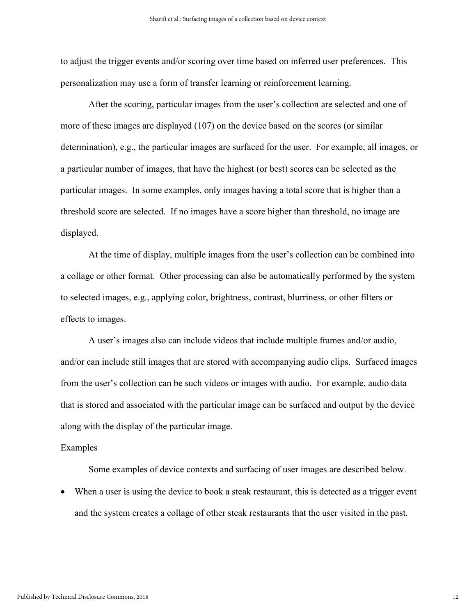to adjust the trigger events and/or scoring over time based on inferred user preferences. This personalization may use a form of transfer learning or reinforcement learning.

After the scoring, particular images from the user's collection are selected and one of more of these images are displayed (107) on the device based on the scores (or similar determination), e.g., the particular images are surfaced for the user. For example, all images, or a particular number of images, that have the highest (or best) scores can be selected as the particular images. In some examples, only images having a total score that is higher than a threshold score are selected. If no images have a score higher than threshold, no image are displayed.

At the time of display, multiple images from the user's collection can be combined into a collage or other format. Other processing can also be automatically performed by the system to selected images, e.g., applying color, brightness, contrast, blurriness, or other filters or effects to images.

A user's images also can include videos that include multiple frames and/or audio, and/or can include still images that are stored with accompanying audio clips. Surfaced images from the user's collection can be such videos or images with audio. For example, audio data that is stored and associated with the particular image can be surfaced and output by the device along with the display of the particular image.

#### **Examples**

Some examples of device contexts and surfacing of user images are described below.

 When a user is using the device to book a steak restaurant, this is detected as a trigger event and the system creates a collage of other steak restaurants that the user visited in the past.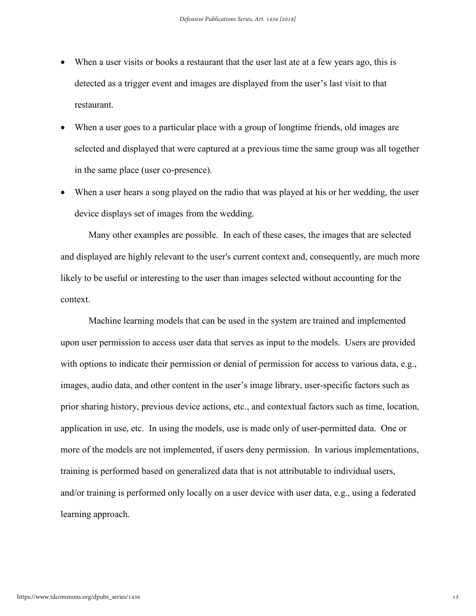- When a user visits or books a restaurant that the user last ate at a few years ago, this is detected as a trigger event and images are displayed from the user's last visit to that restaurant.
- When a user goes to a particular place with a group of longtime friends, old images are selected and displayed that were captured at a previous time the same group was all together in the same place (user co-presence).
- When a user hears a song played on the radio that was played at his or her wedding, the user device displays set of images from the wedding.

Many other examples are possible. In each of these cases, the images that are selected and displayed are highly relevant to the user's current context and, consequently, are much more likely to be useful or interesting to the user than images selected without accounting for the context.

Machine learning models that can be used in the system are trained and implemented upon user permission to access user data that serves as input to the models. Users are provided with options to indicate their permission or denial of permission for access to various data, e.g., images, audio data, and other content in the user's image library, user-specific factors such as prior sharing history, previous device actions, etc., and contextual factors such as time, location, application in use, etc. In using the models, use is made only of user-permitted data. One or more of the models are not implemented, if users deny permission. In various implementations, training is performed based on generalized data that is not attributable to individual users, and/or training is performed only locally on a user device with user data, e.g., using a federated learning approach.